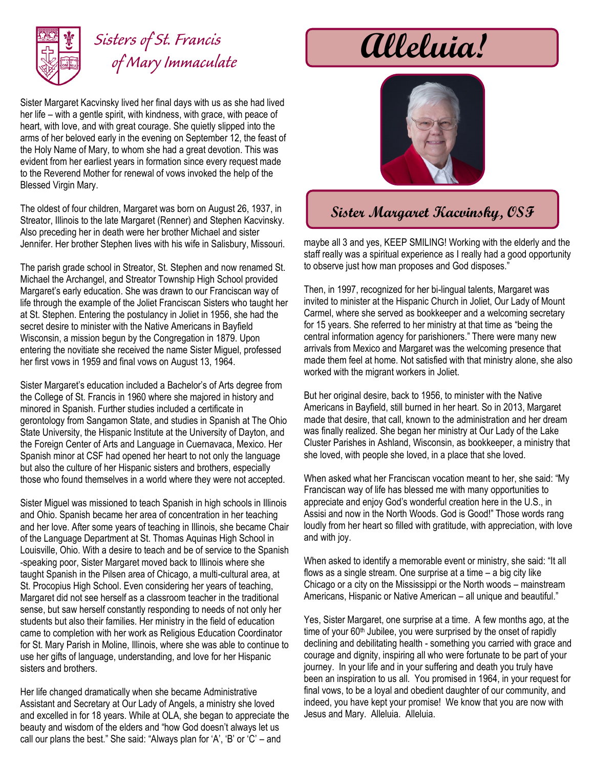

## *Sisters of St. Francis of Mary Immaculate*

Sister Margaret Kacvinsky lived her final days with us as she had lived her life – with a gentle spirit, with kindness, with grace, with peace of heart, with love, and with great courage. She quietly slipped into the arms of her beloved early in the evening on September 12, the feast of the Holy Name of Mary, to whom she had a great devotion. This was evident from her earliest years in formation since every request made to the Reverend Mother for renewal of vows invoked the help of the Blessed Virgin Mary.

The oldest of four children, Margaret was born on August 26, 1937, in Streator, Illinois to the late Margaret (Renner) and Stephen Kacvinsky. Also preceding her in death were her brother Michael and sister Jennifer. Her brother Stephen lives with his wife in Salisbury, Missouri.

The parish grade school in Streator, St. Stephen and now renamed St. Michael the Archangel, and Streator Township High School provided Margaret's early education. She was drawn to our Franciscan way of life through the example of the Joliet Franciscan Sisters who taught her at St. Stephen. Entering the postulancy in Joliet in 1956, she had the secret desire to minister with the Native Americans in Bayfield Wisconsin, a mission begun by the Congregation in 1879. Upon entering the novitiate she received the name Sister Miguel, professed her first vows in 1959 and final vows on August 13, 1964.

Sister Margaret's education included a Bachelor's of Arts degree from the College of St. Francis in 1960 where she majored in history and minored in Spanish. Further studies included a certificate in gerontology from Sangamon State, and studies in Spanish at The Ohio State University, the Hispanic Institute at the University of Dayton, and the Foreign Center of Arts and Language in Cuernavaca, Mexico. Her Spanish minor at CSF had opened her heart to not only the language but also the culture of her Hispanic sisters and brothers, especially those who found themselves in a world where they were not accepted.

Sister Miguel was missioned to teach Spanish in high schools in Illinois and Ohio. Spanish became her area of concentration in her teaching and her love. After some years of teaching in Illinois, she became Chair of the Language Department at St. Thomas Aquinas High School in Louisville, Ohio. With a desire to teach and be of service to the Spanish -speaking poor, Sister Margaret moved back to Illinois where she taught Spanish in the Pilsen area of Chicago, a multi-cultural area, at St. Procopius High School. Even considering her years of teaching, Margaret did not see herself as a classroom teacher in the traditional sense, but saw herself constantly responding to needs of not only her students but also their families. Her ministry in the field of education came to completion with her work as Religious Education Coordinator for St. Mary Parish in Moline, Illinois, where she was able to continue to use her gifts of language, understanding, and love for her Hispanic sisters and brothers.

Her life changed dramatically when she became Administrative Assistant and Secretary at Our Lady of Angels, a ministry she loved and excelled in for 18 years. While at OLA, she began to appreciate the beauty and wisdom of the elders and "how God doesn't always let us call our plans the best." She said: "Always plan for 'A', 'B' or 'C' – and

## **Alleluia!**



## **Sister Margaret Kacvinsky, OSF**

maybe all 3 and yes, KEEP SMILING! Working with the elderly and the staff really was a spiritual experience as I really had a good opportunity to observe just how man proposes and God disposes."

Then, in 1997, recognized for her bi-lingual talents, Margaret was invited to minister at the Hispanic Church in Joliet, Our Lady of Mount Carmel, where she served as bookkeeper and a welcoming secretary for 15 years. She referred to her ministry at that time as "being the central information agency for parishioners." There were many new arrivals from Mexico and Margaret was the welcoming presence that made them feel at home. Not satisfied with that ministry alone, she also worked with the migrant workers in Joliet.

But her original desire, back to 1956, to minister with the Native Americans in Bayfield, still burned in her heart. So in 2013, Margaret made that desire, that call, known to the administration and her dream was finally realized. She began her ministry at Our Lady of the Lake Cluster Parishes in Ashland, Wisconsin, as bookkeeper, a ministry that she loved, with people she loved, in a place that she loved.

When asked what her Franciscan vocation meant to her, she said: "My Franciscan way of life has blessed me with many opportunities to appreciate and enjoy God's wonderful creation here in the U.S., in Assisi and now in the North Woods. God is Good!" Those words rang loudly from her heart so filled with gratitude, with appreciation, with love and with joy.

When asked to identify a memorable event or ministry, she said: "It all flows as a single stream. One surprise at a time – a big city like Chicago or a city on the Mississippi or the North woods – mainstream Americans, Hispanic or Native American – all unique and beautiful."

Yes, Sister Margaret, one surprise at a time. A few months ago, at the time of your 60<sup>th</sup> Jubilee, you were surprised by the onset of rapidly declining and debilitating health - something you carried with grace and courage and dignity, inspiring all who were fortunate to be part of your journey. In your life and in your suffering and death you truly have been an inspiration to us all. You promised in 1964, in your request for final vows, to be a loyal and obedient daughter of our community, and indeed, you have kept your promise! We know that you are now with Jesus and Mary. Alleluia. Alleluia.